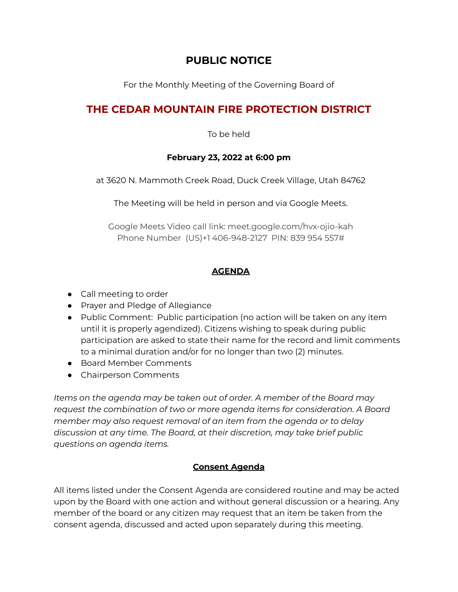## **PUBLIC NOTICE**

For the Monthly Meeting of the Governing Board of

# **THE CEDAR MOUNTAIN FIRE PROTECTION DISTRICT**

To be held

#### **February 23, 2022 at 6:00 pm**

at 3620 N. Mammoth Creek Road, Duck Creek Village, Utah 84762

The Meeting will be held in person and via Google Meets.

Google Meets Video call link: [meet.google.com/hvx-ojio-kah](https://meet.google.com/hvx-ojio-kah?hs=122&authuser=0) Phone Number (US)+1 406-948-2127 PIN: 839 954 557#

## **AGENDA**

- Call meeting to order
- Prayer and Pledge of Allegiance
- Public Comment: Public participation (no action will be taken on any item until it is properly agendized). Citizens wishing to speak during public participation are asked to state their name for the record and limit comments to a minimal duration and/or for no longer than two (2) minutes.
- Board Member Comments
- Chairperson Comments

*Items on the agenda may be taken out of order. A member of the Board may request the combination of two or more agenda items for consideration. A Board member may also request removal of an item from the agenda or to delay discussion at any time. The Board, at their discretion, may take brief public questions on agenda items.*

## **Consent Agenda**

All items listed under the Consent Agenda are considered routine and may be acted upon by the Board with one action and without general discussion or a hearing. Any member of the board or any citizen may request that an item be taken from the consent agenda, discussed and acted upon separately during this meeting.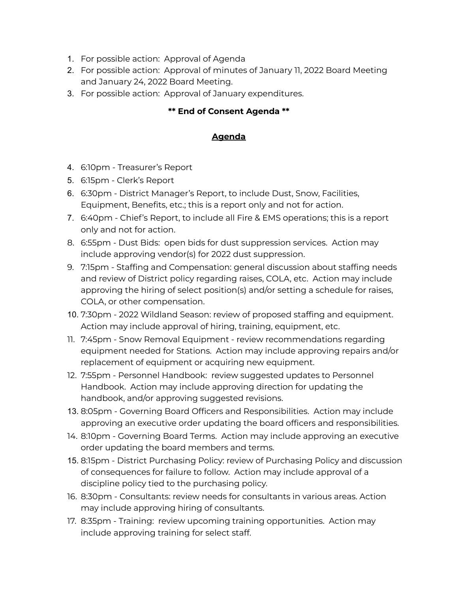- 1. For possible action: Approval of Agenda
- 2. For possible action: Approval of minutes of January 11, 2022 Board Meeting and January 24, 2022 Board Meeting.
- 3. For possible action: Approval of January expenditures.

### **\*\* End of Consent Agenda \*\***

#### **Agenda**

- 4. 6:10pm Treasurer's Report
- 5. 6:15pm Clerk's Report
- 6. 6:30pm District Manager's Report, to include Dust, Snow, Facilities, Equipment, Benefits, etc.; this is a report only and not for action.
- 7. 6:40pm Chief's Report, to include all Fire & EMS operations; this is a report only and not for action.
- 8. 6:55pm Dust Bids: open bids for dust suppression services. Action may include approving vendor(s) for 2022 dust suppression.
- 9. 7:15pm Staffing and Compensation: general discussion about staffing needs and review of District policy regarding raises, COLA, etc. Action may include approving the hiring of select position(s) and/or setting a schedule for raises, COLA, or other compensation.
- 10. 7:30pm 2022 Wildland Season: review of proposed staffing and equipment. Action may include approval of hiring, training, equipment, etc.
- 11. 7:45pm Snow Removal Equipment review recommendations regarding equipment needed for Stations. Action may include approving repairs and/or replacement of equipment or acquiring new equipment.
- 12. 7:55pm Personnel Handbook: review suggested updates to Personnel Handbook. Action may include approving direction for updating the handbook, and/or approving suggested revisions.
- 13. 8:05pm Governing Board Officers and Responsibilities. Action may include approving an executive order updating the board officers and responsibilities.
- 14. 8:10pm Governing Board Terms. Action may include approving an executive order updating the board members and terms.
- 15. 8:15pm District Purchasing Policy: review of Purchasing Policy and discussion of consequences for failure to follow. Action may include approval of a discipline policy tied to the purchasing policy.
- 16. 8:30pm Consultants: review needs for consultants in various areas. Action may include approving hiring of consultants.
- 17. 8:35pm Training: review upcoming training opportunities. Action may include approving training for select staff.